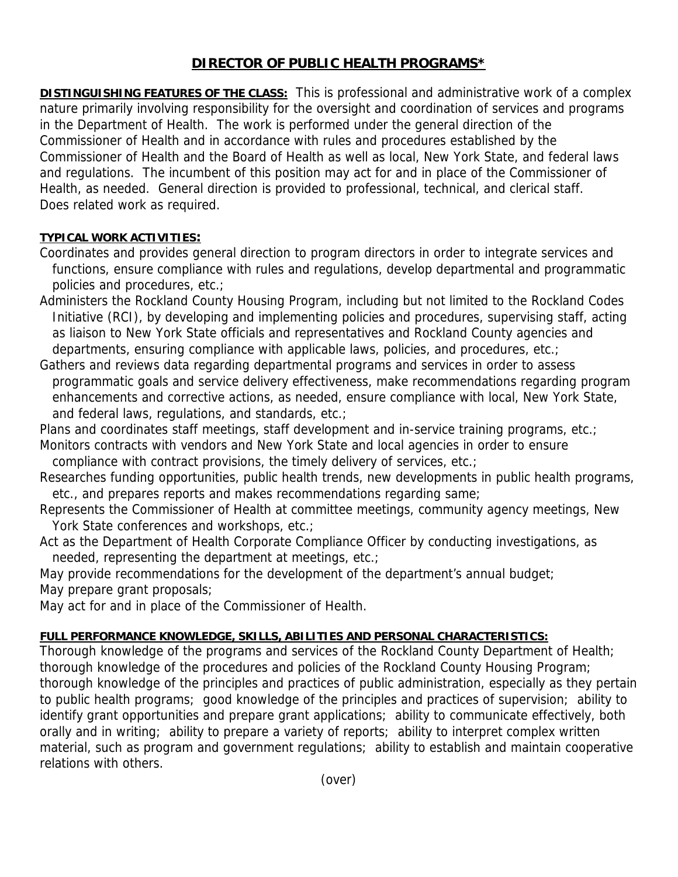## **DIRECTOR OF PUBLIC HEALTH PROGRAMS\***

**DISTINGUISHING FEATURES OF THE CLASS:** This is professional and administrative work of a complex nature primarily involving responsibility for the oversight and coordination of services and programs in the Department of Health. The work is performed under the general direction of the Commissioner of Health and in accordance with rules and procedures established by the Commissioner of Health and the Board of Health as well as local, New York State, and federal laws and regulations. The incumbent of this position may act for and in place of the Commissioner of Health, as needed. General direction is provided to professional, technical, and clerical staff. Does related work as required.

## **TYPICAL WORK ACTIVITIES:**

- Coordinates and provides general direction to program directors in order to integrate services and functions, ensure compliance with rules and regulations, develop departmental and programmatic policies and procedures, etc.;
- Administers the Rockland County Housing Program, including but not limited to the Rockland Codes Initiative (RCI), by developing and implementing policies and procedures, supervising staff, acting as liaison to New York State officials and representatives and Rockland County agencies and departments, ensuring compliance with applicable laws, policies, and procedures, etc.;
- Gathers and reviews data regarding departmental programs and services in order to assess programmatic goals and service delivery effectiveness, make recommendations regarding program enhancements and corrective actions, as needed, ensure compliance with local, New York State, and federal laws, regulations, and standards, etc.;

Plans and coordinates staff meetings, staff development and in-service training programs, etc.;

Monitors contracts with vendors and New York State and local agencies in order to ensure compliance with contract provisions, the timely delivery of services, etc.;

- Researches funding opportunities, public health trends, new developments in public health programs, etc., and prepares reports and makes recommendations regarding same;
- Represents the Commissioner of Health at committee meetings, community agency meetings, New York State conferences and workshops, etc.;
- Act as the Department of Health Corporate Compliance Officer by conducting investigations, as needed, representing the department at meetings, etc.;

May provide recommendations for the development of the department's annual budget; May prepare grant proposals;

May act for and in place of the Commissioner of Health.

## **FULL PERFORMANCE KNOWLEDGE, SKILLS, ABILITIES AND PERSONAL CHARACTERISTICS:**

Thorough knowledge of the programs and services of the Rockland County Department of Health; thorough knowledge of the procedures and policies of the Rockland County Housing Program; thorough knowledge of the principles and practices of public administration, especially as they pertain to public health programs; good knowledge of the principles and practices of supervision; ability to identify grant opportunities and prepare grant applications; ability to communicate effectively, both orally and in writing; ability to prepare a variety of reports; ability to interpret complex written material, such as program and government regulations; ability to establish and maintain cooperative relations with others.

(over)